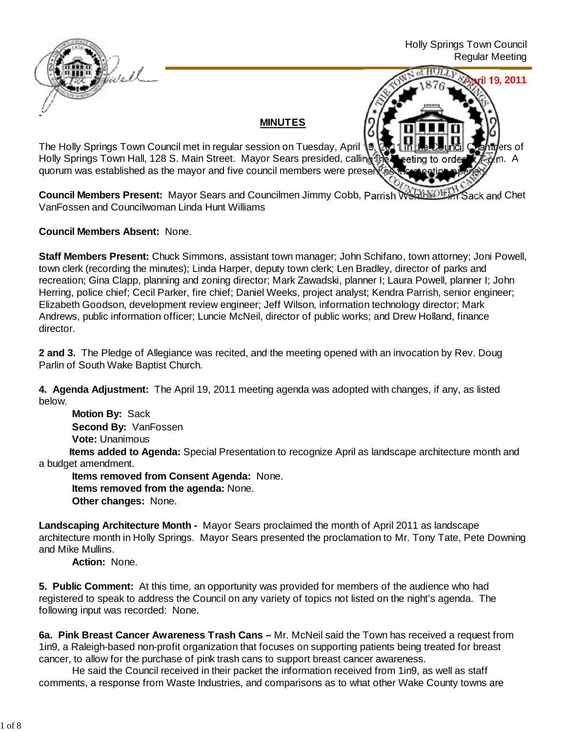

**April 19, 2011**

## **MINUTES**

The Holly Springs Town Council met in regular session on Tuesday, April 19, 2011 in the Council Chambers of Holly Springs Town Hall, 128 S. Main Street. Mayor Sears presided, calling the meeting to order the m. A quorum was established as the mayor and five council members were presented.

**Council Members Present:** Mayor Sears and Councilmen Jimmy Cobb, Parrish Womble, Tack and Chet VanFossen and Councilwoman Linda Hunt Williams

**Council Members Absent:** None.

**Staff Members Present:** Chuck Simmons, assistant town manager; John Schifano, town attorney; Joni Powell, town clerk (recording the minutes); Linda Harper, deputy town clerk; Len Bradley, director of parks and recreation; Gina Clapp, planning and zoning director; Mark Zawadski, planner I; Laura Powell, planner I; John Herring, police chief; Cecil Parker, fire chief; Daniel Weeks, project analyst; Kendra Parrish, senior engineer; Elizabeth Goodson, development review engineer; Jeff Wilson, information technology director; Mark Andrews, public information officer; Luncie McNeil, director of public works; and Drew Holland, finance director.

**2 and 3.** The Pledge of Allegiance was recited, and the meeting opened with an invocation by Rev. Doug Parlin of South Wake Baptist Church.

**4. Agenda Adjustment:** The April 19, 2011 meeting agenda was adopted with changes, if any, as listed below.

**Motion By: Sack Second By:** VanFossen **Vote:** Unanimous

 **Items added to Agenda:** Special Presentation to recognize April as landscape architecture month and a budget amendment.

**Items removed from Consent Agenda:** None. **Items removed from the agenda:** None. **Other changes:** None.

**Landscaping Architecture Month -** Mayor Sears proclaimed the month of April 2011 as landscape architecture month in Holly Springs. Mayor Sears presented the proclamation to Mr. Tony Tate, Pete Downing and Mike Mullins.

**Action:** None.

**5. Public Comment:** At this time, an opportunity was provided for members of the audience who had registered to speak to address the Council on any variety of topics not listed on the night's agenda. The following input was recorded: None.

**6a. Pink Breast Cancer Awareness Trash Cans –** Mr. McNeil said the Town has received a request from 1in9, a Raleigh-based non-profit organization that focuses on supporting patients being treated for breast cancer, to allow for the purchase of pink trash cans to support breast cancer awareness.

 He said the Council received in their packet the information received from 1in9, as well as staff comments, a response from Waste Industries, and comparisons as to what other Wake County towns are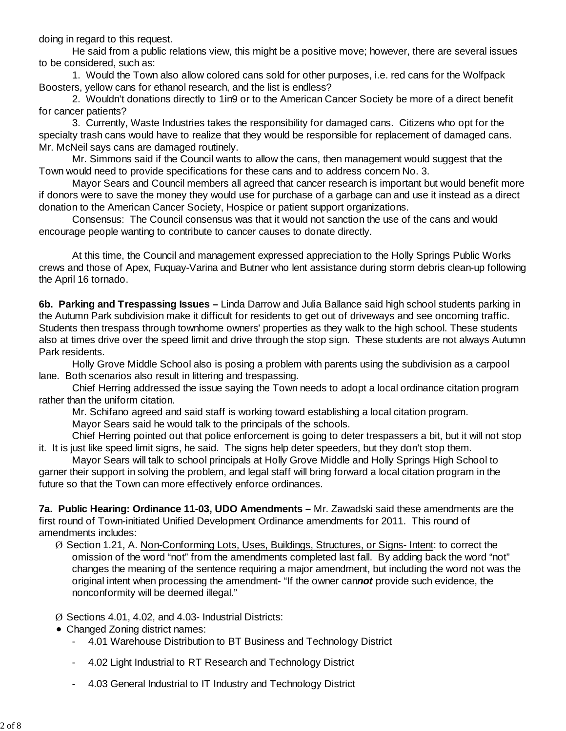doing in regard to this request.

 He said from a public relations view, this might be a positive move; however, there are several issues to be considered, such as:

 1. Would the Town also allow colored cans sold for other purposes, i.e. red cans for the Wolfpack Boosters, yellow cans for ethanol research, and the list is endless?

 2. Wouldn't donations directly to 1in9 or to the American Cancer Society be more of a direct benefit for cancer patients?

 3. Currently, Waste Industries takes the responsibility for damaged cans. Citizens who opt for the specialty trash cans would have to realize that they would be responsible for replacement of damaged cans. Mr. McNeil says cans are damaged routinely.

 Mr. Simmons said if the Council wants to allow the cans, then management would suggest that the Town would need to provide specifications for these cans and to address concern No. 3.

Mayor Sears and Council members all agreed that cancer research is important but would benefit more if donors were to save the money they would use for purchase of a garbage can and use it instead as a direct donation to the American Cancer Society, Hospice or patient support organizations.

 Consensus: The Council consensus was that it would not sanction the use of the cans and would encourage people wanting to contribute to cancer causes to donate directly.

 At this time, the Council and management expressed appreciation to the Holly Springs Public Works crews and those of Apex, Fuquay-Varina and Butner who lent assistance during storm debris clean-up following the April 16 tornado.

**6b. Parking and Trespassing Issues –** Linda Darrow and Julia Ballance said high school students parking in the Autumn Park subdivision make it difficult for residents to get out of driveways and see oncoming traffic. Students then trespass through townhome owners' properties as they walk to the high school. These students also at times drive over the speed limit and drive through the stop sign. These students are not always Autumn Park residents.

 Holly Grove Middle School also is posing a problem with parents using the subdivision as a carpool lane. Both scenarios also result in littering and trespassing.

 Chief Herring addressed the issue saying the Town needs to adopt a local ordinance citation program rather than the uniform citation.

Mr. Schifano agreed and said staff is working toward establishing a local citation program.

Mayor Sears said he would talk to the principals of the schools.

Chief Herring pointed out that police enforcement is going to deter trespassers a bit, but it will not stop it. It is just like speed limit signs, he said. The signs help deter speeders, but they don't stop them.

Mayor Sears will talk to school principals at Holly Grove Middle and Holly Springs High School to garner their support in solving the problem, and legal staff will bring forward a local citation program in the future so that the Town can more effectively enforce ordinances.

**7a. Public Hearing: Ordinance 11-03, UDO Amendments –** Mr. Zawadski said these amendments are the first round of Town-initiated Unified Development Ordinance amendments for 2011. This round of amendments includes:

- Ø Section 1.21, A. Non-Conforming Lots, Uses, Buildings, Structures, or Signs- Intent: to correct the omission of the word "not" from the amendments completed last fall. By adding back the word "not" changes the meaning of the sentence requiring a major amendment, but including the word not was the original intent when processing the amendment- "If the owner can*not* provide such evidence, the nonconformity will be deemed illegal."
- Ø Sections 4.01, 4.02, and 4.03- Industrial Districts:
- Changed Zoning district names:
	- 4.01 Warehouse Distribution to BT Business and Technology District
	- 4.02 Light Industrial to RT Research and Technology District
	- 4.03 General Industrial to IT Industry and Technology District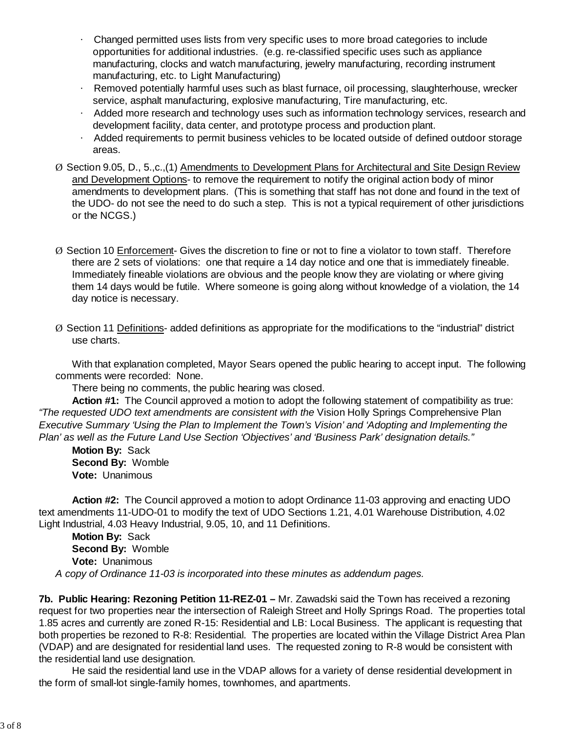- · Changed permitted uses lists from very specific uses to more broad categories to include opportunities for additional industries. (e.g. re-classified specific uses such as appliance manufacturing, clocks and watch manufacturing, jewelry manufacturing, recording instrument manufacturing, etc. to Light Manufacturing)
- Removed potentially harmful uses such as blast furnace, oil processing, slaughterhouse, wrecker service, asphalt manufacturing, explosive manufacturing, Tire manufacturing, etc.
- · Added more research and technology uses such as information technology services, research and development facility, data center, and prototype process and production plant.
- · Added requirements to permit business vehicles to be located outside of defined outdoor storage areas.
- Ø Section 9.05, D., 5.,c.,(1) Amendments to Development Plans for Architectural and Site Design Review and Development Options- to remove the requirement to notify the original action body of minor amendments to development plans. (This is something that staff has not done and found in the text of the UDO- do not see the need to do such a step. This is not a typical requirement of other jurisdictions or the NCGS.)
- Ø Section 10 Enforcement- Gives the discretion to fine or not to fine a violator to town staff. Therefore there are 2 sets of violations: one that require a 14 day notice and one that is immediately fineable. Immediately fineable violations are obvious and the people know they are violating or where giving them 14 days would be futile. Where someone is going along without knowledge of a violation, the 14 day notice is necessary.
- $\varnothing$  Section 11 Definitions- added definitions as appropriate for the modifications to the "industrial" district use charts.

With that explanation completed, Mayor Sears opened the public hearing to accept input. The following comments were recorded: None.

There being no comments, the public hearing was closed.

**Action #1:** The Council approved a motion to adopt the following statement of compatibility as true: *"The requested UDO text amendments are consistent with the* Vision Holly Springs Comprehensive Plan *Executive Summary 'Using the Plan to Implement the Town's Vision' and 'Adopting and Implementing the Plan' as well as the Future Land Use Section 'Objectives' and 'Business Park' designation details."*

**Motion By:** Sack **Second By:** Womble **Vote:** Unanimous

**Action #2:** The Council approved a motion to adopt Ordinance 11-03 approving and enacting UDO text amendments 11-UDO-01 to modify the text of UDO Sections 1.21, 4.01 Warehouse Distribution, 4.02 Light Industrial, 4.03 Heavy Industrial, 9.05, 10, and 11 Definitions.

 **Motion By:** Sack **Second By:** Womble **Vote:** Unanimous *A copy of Ordinance 11-03 is incorporated into these minutes as addendum pages.*

**7b. Public Hearing: Rezoning Petition 11-REZ-01 –** Mr. Zawadski said the Town has received a rezoning request for two properties near the intersection of Raleigh Street and Holly Springs Road. The properties total 1.85 acres and currently are zoned R-15: Residential and LB: Local Business. The applicant is requesting that both properties be rezoned to R-8: Residential. The properties are located within the Village District Area Plan (VDAP) and are designated for residential land uses. The requested zoning to R-8 would be consistent with the residential land use designation.

He said the residential land use in the VDAP allows for a variety of dense residential development in the form of small-lot single-family homes, townhomes, and apartments.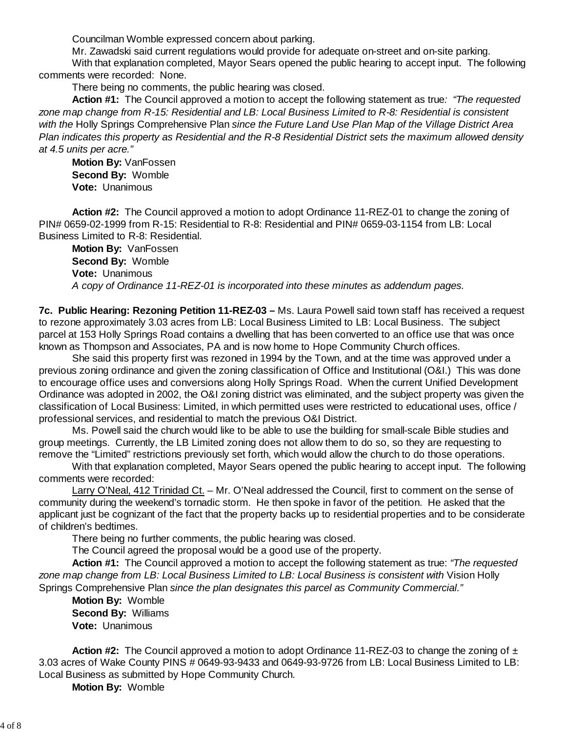Councilman Womble expressed concern about parking.

Mr. Zawadski said current regulations would provide for adequate on-street and on-site parking. With that explanation completed, Mayor Sears opened the public hearing to accept input. The following comments were recorded: None.

There being no comments, the public hearing was closed.

**Action #1:** The Council approved a motion to accept the following statement as true*: "The requested zone map change from R-15: Residential and LB: Local Business Limited to R-8: Residential is consistent with the* Holly Springs Comprehensive Plan *since the Future Land Use Plan Map of the Village District Area Plan indicates this property as Residential and the R-8 Residential District sets the maximum allowed density at 4.5 units per acre."*

**Motion By:** VanFossen **Second By:** Womble **Vote:** Unanimous

**Action #2:** The Council approved a motion to adopt Ordinance 11-REZ-01 to change the zoning of PIN# 0659-02-1999 from R-15: Residential to R-8: Residential and PIN# 0659-03-1154 from LB: Local Business Limited to R-8: Residential.

 **Motion By:** VanFossen **Second By:** Womble **Vote:** Unanimous *A copy of Ordinance 11-REZ-01 is incorporated into these minutes as addendum pages.*

**7c. Public Hearing: Rezoning Petition 11-REZ-03 –** Ms. Laura Powell said town staff has received a request to rezone approximately 3.03 acres from LB: Local Business Limited to LB: Local Business. The subject parcel at 153 Holly Springs Road contains a dwelling that has been converted to an office use that was once known as Thompson and Associates, PA and is now home to Hope Community Church offices.

 She said this property first was rezoned in 1994 by the Town, and at the time was approved under a previous zoning ordinance and given the zoning classification of Office and Institutional (O&I.) This was done to encourage office uses and conversions along Holly Springs Road. When the current Unified Development Ordinance was adopted in 2002, the O&I zoning district was eliminated, and the subject property was given the classification of Local Business: Limited, in which permitted uses were restricted to educational uses, office / professional services, and residential to match the previous O&I District.

 Ms. Powell said the church would like to be able to use the building for small-scale Bible studies and group meetings. Currently, the LB Limited zoning does not allow them to do so, so they are requesting to remove the "Limited" restrictions previously set forth, which would allow the church to do those operations.

With that explanation completed, Mayor Sears opened the public hearing to accept input. The following comments were recorded:

Larry O'Neal, 412 Trinidad Ct. – Mr. O'Neal addressed the Council, first to comment on the sense of community during the weekend's tornadic storm. He then spoke in favor of the petition. He asked that the applicant just be cognizant of the fact that the property backs up to residential properties and to be considerate of children's bedtimes.

There being no further comments, the public hearing was closed.

The Council agreed the proposal would be a good use of the property.

**Action #1:** The Council approved a motion to accept the following statement as true: *"The requested* zone map change from LB: Local Business Limited to LB: Local Business is consistent with Vision Holly Springs Comprehensive Plan *since the plan designates this parcel as Community Commercial."*

**Motion By:** Womble **Second By:** Williams **Vote:** Unanimous

**Action #2:** The Council approved a motion to adopt Ordinance 11-REZ-03 to change the zoning of ± 3.03 acres of Wake County PINS # 0649-93-9433 and 0649-93-9726 from LB: Local Business Limited to LB: Local Business as submitted by Hope Community Church.

**Motion By:** Womble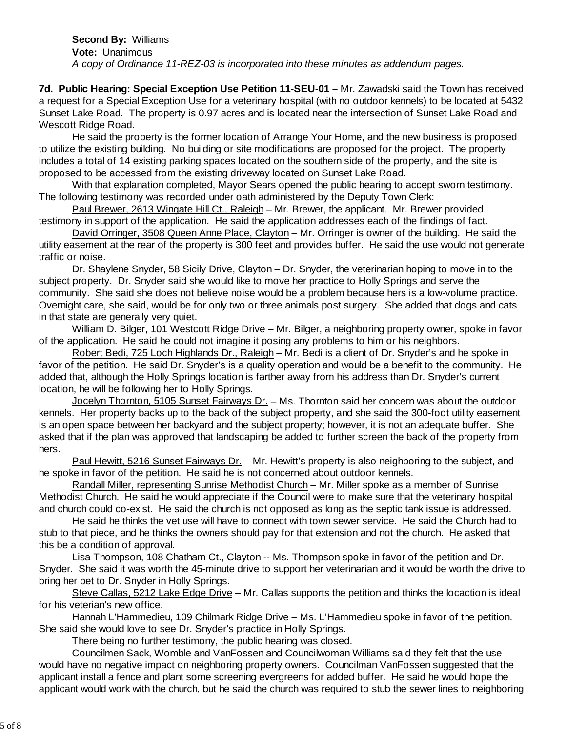**Second By:** Williams **Vote:** Unanimous *A copy of Ordinance 11-REZ-03 is incorporated into these minutes as addendum pages.*

**7d. Public Hearing: Special Exception Use Petition 11-SEU-01 –** Mr. Zawadski said the Town has received a request for a Special Exception Use for a veterinary hospital (with no outdoor kennels) to be located at 5432 Sunset Lake Road. The property is 0.97 acres and is located near the intersection of Sunset Lake Road and Wescott Ridge Road.

 He said the property is the former location of Arrange Your Home, and the new business is proposed to utilize the existing building. No building or site modifications are proposed for the project. The property includes a total of 14 existing parking spaces located on the southern side of the property, and the site is proposed to be accessed from the existing driveway located on Sunset Lake Road.

 With that explanation completed, Mayor Sears opened the public hearing to accept sworn testimony. The following testimony was recorded under oath administered by the Deputy Town Clerk:

Paul Brewer, 2613 Wingate Hill Ct., Raleigh – Mr. Brewer, the applicant. Mr. Brewer provided testimony in support of the application. He said the application addresses each of the findings of fact.

David Orringer, 3508 Queen Anne Place, Clayton – Mr. Orringer is owner of the building. He said the utility easement at the rear of the property is 300 feet and provides buffer. He said the use would not generate traffic or noise.

Dr. Shaylene Snyder, 58 Sicily Drive, Clayton - Dr. Snyder, the veterinarian hoping to move in to the subject property. Dr. Snyder said she would like to move her practice to Holly Springs and serve the community. She said she does not believe noise would be a problem because hers is a low-volume practice. Overnight care, she said, would be for only two or three animals post surgery. She added that dogs and cats in that state are generally very quiet.

William D. Bilger, 101 Westcott Ridge Drive - Mr. Bilger, a neighboring property owner, spoke in favor of the application. He said he could not imagine it posing any problems to him or his neighbors.

Robert Bedi, 725 Loch Highlands Dr., Raleigh – Mr. Bedi is a client of Dr. Snyder's and he spoke in favor of the petition. He said Dr. Snyder's is a quality operation and would be a benefit to the community. He added that, although the Holly Springs location is farther away from his address than Dr. Snyder's current location, he will be following her to Holly Springs.

Jocelyn Thornton, 5105 Sunset Fairways Dr. – Ms. Thornton said her concern was about the outdoor kennels. Her property backs up to the back of the subject property, and she said the 300-foot utility easement is an open space between her backyard and the subject property; however, it is not an adequate buffer. She asked that if the plan was approved that landscaping be added to further screen the back of the property from hers.

Paul Hewitt, 5216 Sunset Fairways Dr. - Mr. Hewitt's property is also neighboring to the subject, and he spoke in favor of the petition. He said he is not concerned about outdoor kennels.

Randall Miller, representing Sunrise Methodist Church – Mr. Miller spoke as a member of Sunrise Methodist Church. He said he would appreciate if the Council were to make sure that the veterinary hospital and church could co-exist. He said the church is not opposed as long as the septic tank issue is addressed.

He said he thinks the vet use will have to connect with town sewer service. He said the Church had to stub to that piece, and he thinks the owners should pay for that extension and not the church. He asked that this be a condition of approval.

Lisa Thompson, 108 Chatham Ct., Clayton -- Ms. Thompson spoke in favor of the petition and Dr. Snyder. She said it was worth the 45-minute drive to support her veterinarian and it would be worth the drive to bring her pet to Dr. Snyder in Holly Springs.

Steve Callas, 5212 Lake Edge Drive - Mr. Callas supports the petition and thinks the locaction is ideal for his veterian's new office.

Hannah L'Hammedieu, 109 Chilmark Ridge Drive – Ms. L'Hammedieu spoke in favor of the petition. She said she would love to see Dr. Snyder's practice in Holly Springs.

There being no further testimony, the public hearing was closed.

Councilmen Sack, Womble and VanFossen and Councilwoman Williams said they felt that the use would have no negative impact on neighboring property owners. Councilman VanFossen suggested that the applicant install a fence and plant some screening evergreens for added buffer. He said he would hope the applicant would work with the church, but he said the church was required to stub the sewer lines to neighboring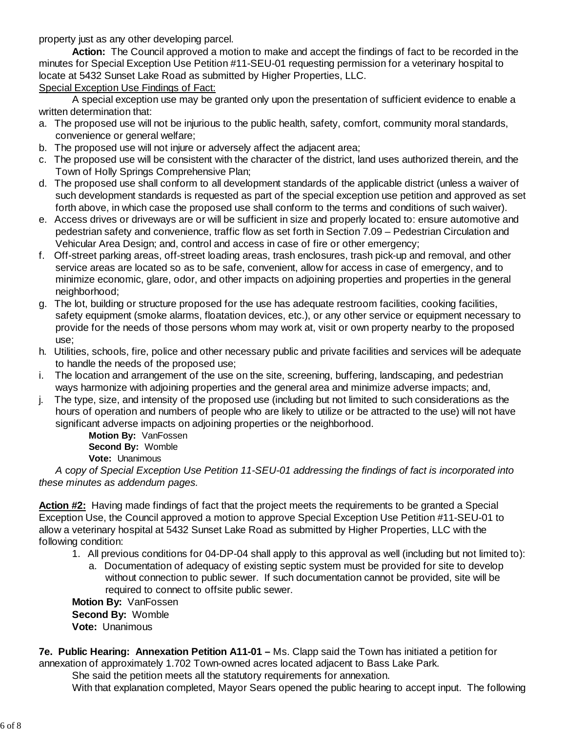property just as any other developing parcel.

**Action:** The Council approved a motion to make and accept the findings of fact to be recorded in the minutes for Special Exception Use Petition #11-SEU-01 requesting permission for a veterinary hospital to locate at 5432 Sunset Lake Road as submitted by Higher Properties, LLC.

Special Exception Use Findings of Fact:

 A special exception use may be granted only upon the presentation of sufficient evidence to enable a written determination that:

- a. The proposed use will not be injurious to the public health, safety, comfort, community moral standards, convenience or general welfare;
- b. The proposed use will not injure or adversely affect the adjacent area;
- c. The proposed use will be consistent with the character of the district, land uses authorized therein, and the Town of Holly Springs Comprehensive Plan;
- d. The proposed use shall conform to all development standards of the applicable district (unless a waiver of such development standards is requested as part of the special exception use petition and approved as set forth above, in which case the proposed use shall conform to the terms and conditions of such waiver).
- e. Access drives or driveways are or will be sufficient in size and properly located to: ensure automotive and pedestrian safety and convenience, traffic flow as set forth in Section 7.09 – Pedestrian Circulation and Vehicular Area Design; and, control and access in case of fire or other emergency;
- f. Off-street parking areas, off-street loading areas, trash enclosures, trash pick-up and removal, and other service areas are located so as to be safe, convenient, allow for access in case of emergency, and to minimize economic, glare, odor, and other impacts on adjoining properties and properties in the general neighborhood;
- g. The lot, building or structure proposed for the use has adequate restroom facilities, cooking facilities, safety equipment (smoke alarms, floatation devices, etc.), or any other service or equipment necessary to provide for the needs of those persons whom may work at, visit or own property nearby to the proposed use;
- h. Utilities, schools, fire, police and other necessary public and private facilities and services will be adequate to handle the needs of the proposed use;
- i. The location and arrangement of the use on the site, screening, buffering, landscaping, and pedestrian ways harmonize with adjoining properties and the general area and minimize adverse impacts; and,
- j. The type, size, and intensity of the proposed use (including but not limited to such considerations as the hours of operation and numbers of people who are likely to utilize or be attracted to the use) will not have significant adverse impacts on adjoining properties or the neighborhood.

**Motion By:** VanFossen **Second By:** Womble

**Vote:** Unanimous

*A* c*opy of Special Exception Use Petition 11-SEU-01 addressing the findings of fact is incorporated into these minutes as addendum pages.*

**Action #2:** Having made findings of fact that the project meets the requirements to be granted a Special Exception Use, the Council approved a motion to approve Special Exception Use Petition #11-SEU-01 to allow a veterinary hospital at 5432 Sunset Lake Road as submitted by Higher Properties, LLC with the following condition:

- 1. All previous conditions for 04-DP-04 shall apply to this approval as well (including but not limited to):
	- a. Documentation of adequacy of existing septic system must be provided for site to develop without connection to public sewer. If such documentation cannot be provided, site will be required to connect to offsite public sewer.

**Motion By:** VanFossen

**Second By:** Womble **Vote:** Unanimous

**7e. Public Hearing: Annexation Petition A11-01 –** Ms. Clapp said the Town has initiated a petition for annexation of approximately 1.702 Town-owned acres located adjacent to Bass Lake Park.

She said the petition meets all the statutory requirements for annexation. With that explanation completed, Mayor Sears opened the public hearing to accept input. The following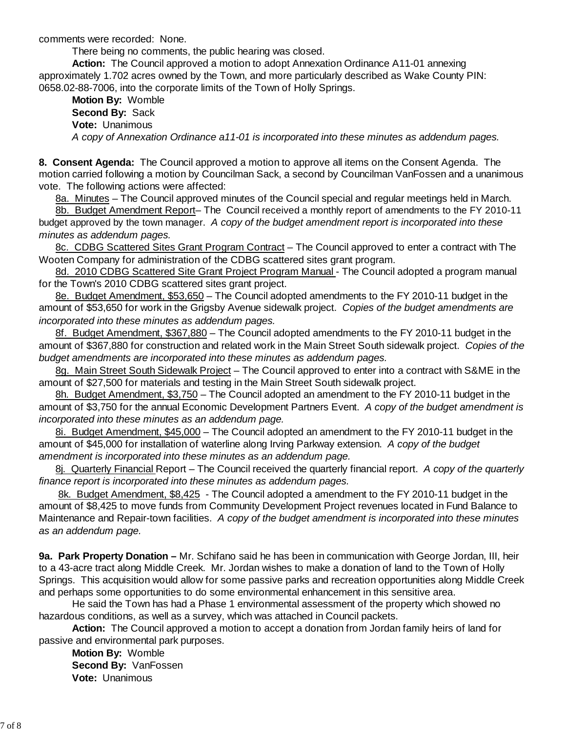comments were recorded: None.

There being no comments, the public hearing was closed.

**Action:** The Council approved a motion to adopt Annexation Ordinance A11-01 annexing approximately 1.702 acres owned by the Town, and more particularly described as Wake County PIN: 0658.02-88-7006, into the corporate limits of the Town of Holly Springs.

 **Motion By:** Womble **Second By:** Sack **Vote:** Unanimous *A copy of Annexation Ordinance a11-01 is incorporated into these minutes as addendum pages.*

**8. Consent Agenda:** The Council approved a motion to approve all items on the Consent Agenda. The motion carried following a motion by Councilman Sack, a second by Councilman VanFossen and a unanimous vote. The following actions were affected:

8a. Minutes – The Council approved minutes of the Council special and regular meetings held in March.

8b. Budget Amendment Report– The Council received a monthly report of amendments to the FY 2010-11 budget approved by the town manager. *A copy of the budget amendment report is incorporated into these minutes as addendum pages.*

8c. CDBG Scattered Sites Grant Program Contract – The Council approved to enter a contract with The Wooten Company for administration of the CDBG scattered sites grant program.

8d. 2010 CDBG Scattered Site Grant Project Program Manual - The Council adopted a program manual for the Town's 2010 CDBG scattered sites grant project.

8e. Budget Amendment, \$53,650 – The Council adopted amendments to the FY 2010-11 budget in the amount of \$53,650 for work in the Grigsby Avenue sidewalk project. *Copies of the budget amendments are incorporated into these minutes as addendum pages.*

8f. Budget Amendment, \$367,880 – The Council adopted amendments to the FY 2010-11 budget in the amount of \$367,880 for construction and related work in the Main Street South sidewalk project.*Copies of the budget amendments are incorporated into these minutes as addendum pages.*

8g. Main Street South Sidewalk Project – The Council approved to enter into a contract with S&ME in the amount of \$27,500 for materials and testing in the Main Street South sidewalk project.

8h. Budget Amendment, \$3,750 – The Council adopted an amendment to the FY 2010-11 budget in the amount of \$3,750 for the annual Economic Development Partners Event.*A copy of the budget amendment is incorporated into these minutes as an addendum page.*

8i. Budget Amendment, \$45,000 – The Council adopted an amendment to the FY 2010-11 budget in the amount of \$45,000 for installation of waterline along Irving Parkway extension. *A copy of the budget amendment is incorporated into these minutes as an addendum page.*

8j. Quarterly Financial Report – The Council received the quarterly financial report. *A copy of the quarterly finance report is incorporated into these minutes as addendum pages.*

8k. Budget Amendment, \$8,425- The Council adopted a amendment to the FY 2010-11 budget in the amount of \$8,425 to move funds from Community Development Project revenues located in Fund Balance to Maintenance and Repair-town facilities. *A copy of the budget amendment is incorporated into these minutes as an addendum page.*

**9a. Park Property Donation –** Mr. Schifano said he has been in communication with George Jordan, III, heir to a 43-acre tract along Middle Creek. Mr. Jordan wishes to make a donation of land to the Town of Holly Springs. This acquisition would allow for some passive parks and recreation opportunities along Middle Creek and perhaps some opportunities to do some environmental enhancement in this sensitive area.

 He said the Town has had a Phase 1 environmental assessment of the property which showed no hazardous conditions, as well as a survey, which was attached in Council packets.

**Action:** The Council approved a motion to accept a donation from Jordan family heirs of land for passive and environmental park purposes.

**Motion By:** Womble **Second By:** VanFossen **Vote:** Unanimous